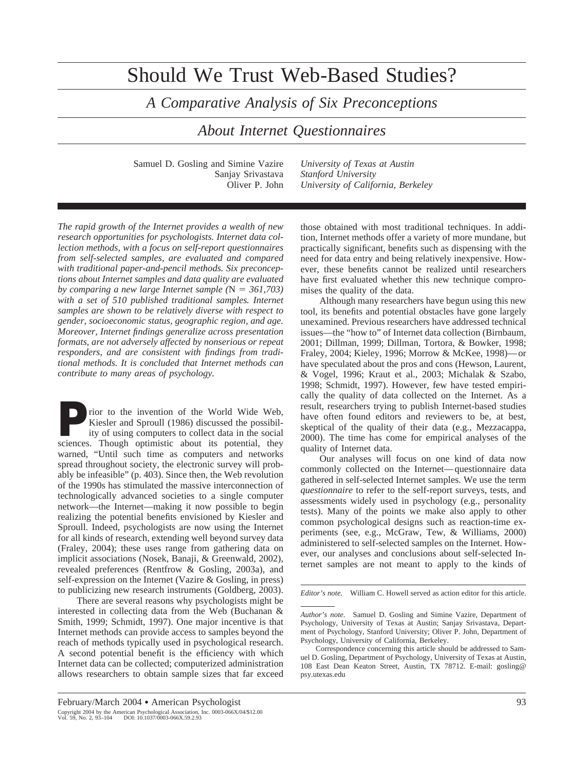# Should We Trust Web-Based Studies?

*A Comparative Analysis of Six Preconceptions*

*About Internet Questionnaires*

Samuel D. Gosling and Simine Vazire *University of Texas at Austin*

Sanjay Srivastava *Stanford University* Oliver P. John *University of California, Berkeley*

*The rapid growth of the Internet provides a wealth of new research opportunities for psychologists. Internet data collection methods, with a focus on self-report questionnaires from self-selected samples, are evaluated and compared with traditional paper-and-pencil methods. Six preconceptions about Internet samples and data quality are evaluated by comparing a new large Internet sample*  $(N = 361,703)$ *with a set of 510 published traditional samples. Internet samples are shown to be relatively diverse with respect to gender, socioeconomic status, geographic region, and age. Moreover, Internet findings generalize across presentation formats, are not adversely affected by nonserious or repeat responders, and are consistent with findings from traditional methods. It is concluded that Internet methods can contribute to many areas of psychology.*

rior to the invention of the World Wide Web, Kiesler and Sproull (1986) discussed the possibility of using computers to collect data in the social sciences. Though optimistic about its potential, they warned, "Until such time as computers and networks spread throughout society, the electronic survey will probably be infeasible" (p. 403). Since then, the Web revolution of the 1990s has stimulated the massive interconnection of technologically advanced societies to a single computer network—the Internet—making it now possible to begin realizing the potential benefits envisioned by Kiesler and Sproull. Indeed, psychologists are now using the Internet for all kinds of research, extending well beyond survey data (Fraley, 2004); these uses range from gathering data on implicit associations (Nosek, Banaji, & Greenwald, 2002), revealed preferences (Rentfrow & Gosling, 2003a), and self-expression on the Internet (Vazire & Gosling, in press) to publicizing new research instruments (Goldberg, 2003).

There are several reasons why psychologists might be interested in collecting data from the Web (Buchanan & Smith, 1999; Schmidt, 1997). One major incentive is that Internet methods can provide access to samples beyond the reach of methods typically used in psychological research. A second potential benefit is the efficiency with which Internet data can be collected; computerized administration allows researchers to obtain sample sizes that far exceed

those obtained with most traditional techniques. In addition, Internet methods offer a variety of more mundane, but practically significant, benefits such as dispensing with the need for data entry and being relatively inexpensive. However, these benefits cannot be realized until researchers have first evaluated whether this new technique compromises the quality of the data.

Although many researchers have begun using this new tool, its benefits and potential obstacles have gone largely unexamined. Previous researchers have addressed technical issues—the "how to" of Internet data collection (Birnbaum, 2001; Dillman, 1999; Dillman, Tortora, & Bowker, 1998; Fraley, 2004; Kieley, 1996; Morrow & McKee, 1998)—or have speculated about the pros and cons (Hewson, Laurent, & Vogel, 1996; Kraut et al., 2003; Michalak & Szabo, 1998; Schmidt, 1997). However, few have tested empirically the quality of data collected on the Internet. As a result, researchers trying to publish Internet-based studies have often found editors and reviewers to be, at best, skeptical of the quality of their data (e.g., Mezzacappa, 2000). The time has come for empirical analyses of the quality of Internet data.

Our analyses will focus on one kind of data now commonly collected on the Internet—questionnaire data gathered in self-selected Internet samples. We use the term *questionnaire* to refer to the self-report surveys, tests, and assessments widely used in psychology (e.g., personality tests). Many of the points we make also apply to other common psychological designs such as reaction-time experiments (see, e.g., McGraw, Tew, & Williams, 2000) administered to self-selected samples on the Internet. However, our analyses and conclusions about self-selected Internet samples are not meant to apply to the kinds of

*Editor's note.* William C. Howell served as action editor for this article.

*Author's note.* Samuel D. Gosling and Simine Vazire, Department of Psychology, University of Texas at Austin; Sanjay Srivastava, Department of Psychology, Stanford University; Oliver P. John, Department of Psychology, University of California, Berkeley.

Correspondence concerning this article should be addressed to Samuel D. Gosling, Department of Psychology, University of Texas at Austin, 108 East Dean Keaton Street, Austin, TX 78712. E-mail: gosling@ psy.utexas.edu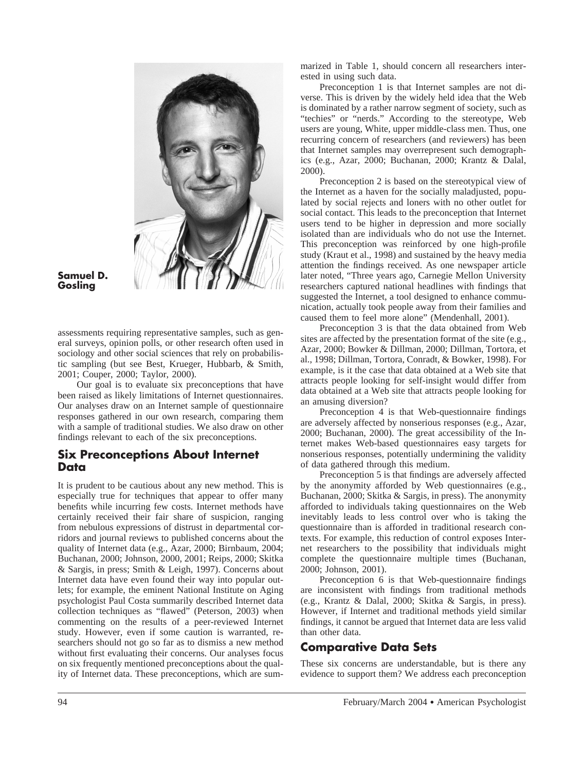

#### **Samuel D. Gosling**

assessments requiring representative samples, such as general surveys, opinion polls, or other research often used in sociology and other social sciences that rely on probabilistic sampling (but see Best, Krueger, Hubbarb, & Smith, 2001; Couper, 2000; Taylor, 2000).

Our goal is to evaluate six preconceptions that have been raised as likely limitations of Internet questionnaires. Our analyses draw on an Internet sample of questionnaire responses gathered in our own research, comparing them with a sample of traditional studies. We also draw on other findings relevant to each of the six preconceptions.

# **Six Preconceptions About Internet Data**

It is prudent to be cautious about any new method. This is especially true for techniques that appear to offer many benefits while incurring few costs. Internet methods have certainly received their fair share of suspicion, ranging from nebulous expressions of distrust in departmental corridors and journal reviews to published concerns about the quality of Internet data (e.g., Azar, 2000; Birnbaum, 2004; Buchanan, 2000; Johnson, 2000, 2001; Reips, 2000; Skitka & Sargis, in press; Smith & Leigh, 1997). Concerns about Internet data have even found their way into popular outlets; for example, the eminent National Institute on Aging psychologist Paul Costa summarily described Internet data collection techniques as "flawed" (Peterson, 2003) when commenting on the results of a peer-reviewed Internet study. However, even if some caution is warranted, researchers should not go so far as to dismiss a new method without first evaluating their concerns. Our analyses focus on six frequently mentioned preconceptions about the quality of Internet data. These preconceptions, which are summarized in Table 1, should concern all researchers interested in using such data.

Preconception 1 is that Internet samples are not diverse. This is driven by the widely held idea that the Web is dominated by a rather narrow segment of society, such as "techies" or "nerds." According to the stereotype, Web users are young, White, upper middle-class men. Thus, one recurring concern of researchers (and reviewers) has been that Internet samples may overrepresent such demographics (e.g., Azar, 2000; Buchanan, 2000; Krantz & Dalal, 2000).

Preconception 2 is based on the stereotypical view of the Internet as a haven for the socially maladjusted, populated by social rejects and loners with no other outlet for social contact. This leads to the preconception that Internet users tend to be higher in depression and more socially isolated than are individuals who do not use the Internet. This preconception was reinforced by one high-profile study (Kraut et al., 1998) and sustained by the heavy media attention the findings received. As one newspaper article later noted, "Three years ago, Carnegie Mellon University researchers captured national headlines with findings that suggested the Internet, a tool designed to enhance communication, actually took people away from their families and caused them to feel more alone" (Mendenhall, 2001).

Preconception 3 is that the data obtained from Web sites are affected by the presentation format of the site (e.g., Azar, 2000; Bowker & Dillman, 2000; Dillman, Tortora, et al., 1998; Dillman, Tortora, Conradt, & Bowker, 1998). For example, is it the case that data obtained at a Web site that attracts people looking for self-insight would differ from data obtained at a Web site that attracts people looking for an amusing diversion?

Preconception 4 is that Web-questionnaire findings are adversely affected by nonserious responses (e.g., Azar, 2000; Buchanan, 2000). The great accessibility of the Internet makes Web-based questionnaires easy targets for nonserious responses, potentially undermining the validity of data gathered through this medium.

Preconception 5 is that findings are adversely affected by the anonymity afforded by Web questionnaires (e.g., Buchanan, 2000; Skitka & Sargis, in press). The anonymity afforded to individuals taking questionnaires on the Web inevitably leads to less control over who is taking the questionnaire than is afforded in traditional research contexts. For example, this reduction of control exposes Internet researchers to the possibility that individuals might complete the questionnaire multiple times (Buchanan, 2000; Johnson, 2001).

Preconception 6 is that Web-questionnaire findings are inconsistent with findings from traditional methods (e.g., Krantz & Dalal, 2000; Skitka & Sargis, in press). However, if Internet and traditional methods yield similar findings, it cannot be argued that Internet data are less valid than other data.

# **Comparative Data Sets**

These six concerns are understandable, but is there any evidence to support them? We address each preconception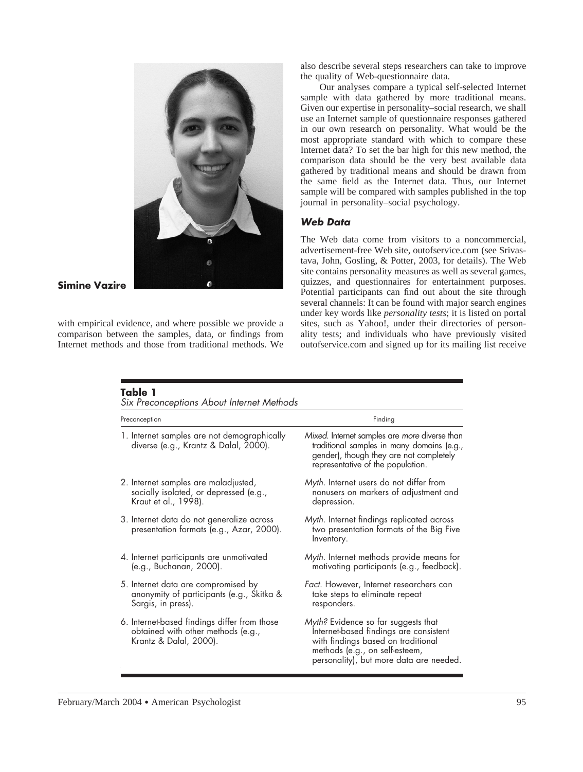

## **Simine Vazire**

with empirical evidence, and where possible we provide a comparison between the samples, data, or findings from Internet methods and those from traditional methods. We

also describe several steps researchers can take to improve the quality of Web-questionnaire data.

Our analyses compare a typical self-selected Internet sample with data gathered by more traditional means. Given our expertise in personality–social research, we shall use an Internet sample of questionnaire responses gathered in our own research on personality. What would be the most appropriate standard with which to compare these Internet data? To set the bar high for this new method, the comparison data should be the very best available data gathered by traditional means and should be drawn from the same field as the Internet data. Thus, our Internet sample will be compared with samples published in the top journal in personality–social psychology.

#### *Web Data*

The Web data come from visitors to a noncommercial, advertisement-free Web site, outofservice.com (see Srivastava, John, Gosling, & Potter, 2003, for details). The Web site contains personality measures as well as several games, quizzes, and questionnaires for entertainment purposes. Potential participants can find out about the site through several channels: It can be found with major search engines under key words like *personality tests*; it is listed on portal sites, such as Yahoo!, under their directories of personality tests; and individuals who have previously visited outofservice.com and signed up for its mailing list receive

## **Table 1**

| Preconception                                                                                                | Finding                                                                                                                                                                                          |  |  |
|--------------------------------------------------------------------------------------------------------------|--------------------------------------------------------------------------------------------------------------------------------------------------------------------------------------------------|--|--|
| 1. Internet samples are not demographically<br>diverse (e.g., Krantz & Dalal, 2000).                         | Mixed. Internet samples are more diverse than<br>traditional samples in many domains (e.g.,<br>gender), though they are not completely<br>representative of the population.                      |  |  |
| 2. Internet samples are maladjusted,<br>socially isolated, or depressed (e.g.,<br>Kraut et al., 1998).       | Myth. Internet users do not differ from<br>nonusers on markers of adjustment and<br>depression.                                                                                                  |  |  |
| 3. Internet data do not generalize across<br>presentation formats (e.g., Azar, 2000).                        | Myth. Internet findings replicated across<br>two presentation formats of the Big Five<br>Inventory.                                                                                              |  |  |
| 4. Internet participants are unmotivated<br>(e.g., Buchanan, 2000).                                          | Myth. Internet methods provide means for<br>motivating participants (e.g., feedback).                                                                                                            |  |  |
| 5. Internet data are compromised by<br>anonymity of participants (e.g., Skitka &<br>Sargis, in press).       | Fact. However, Internet researchers can<br>take steps to eliminate repeat<br>responders.                                                                                                         |  |  |
| 6. Internet-based findings differ from those<br>obtained with other methods (e.g.,<br>Krantz & Dalal, 2000). | Myth? Evidence so far suggests that<br>Internet-based findings are consistent<br>with findings based on traditional<br>methods (e.g., on self-esteem,<br>personality), but more data are needed. |  |  |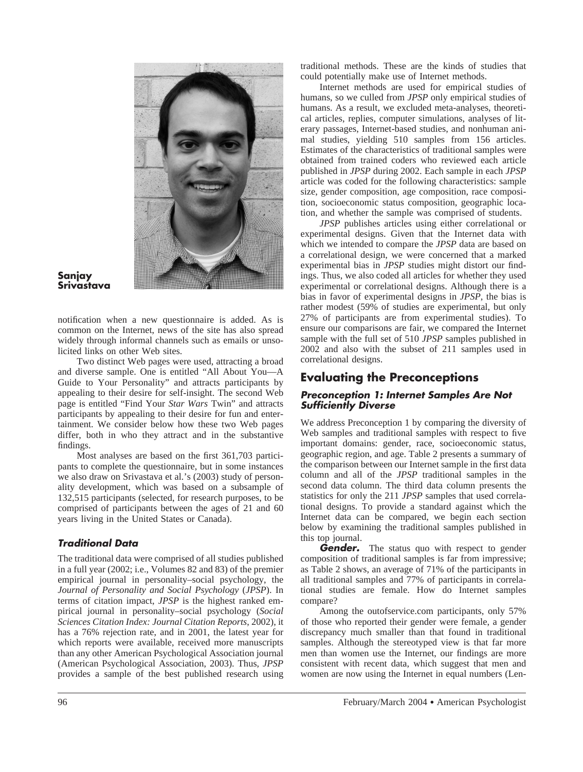

#### **Sanjay Srivastava**

notification when a new questionnaire is added. As is common on the Internet, news of the site has also spread widely through informal channels such as emails or unsolicited links on other Web sites.

Two distinct Web pages were used, attracting a broad and diverse sample. One is entitled "All About You—A Guide to Your Personality" and attracts participants by appealing to their desire for self-insight. The second Web page is entitled "Find Your *Star Wars* Twin" and attracts participants by appealing to their desire for fun and entertainment. We consider below how these two Web pages differ, both in who they attract and in the substantive findings.

Most analyses are based on the first 361,703 participants to complete the questionnaire, but in some instances we also draw on Srivastava et al.'s (2003) study of personality development, which was based on a subsample of 132,515 participants (selected, for research purposes, to be comprised of participants between the ages of 21 and 60 years living in the United States or Canada).

# *Traditional Data*

The traditional data were comprised of all studies published in a full year (2002; i.e., Volumes 82 and 83) of the premier empirical journal in personality–social psychology, the *Journal of Personality and Social Psychology* (*JPSP*). In terms of citation impact, *JPSP* is the highest ranked empirical journal in personality–social psychology (*Social Sciences Citation Index: Journal Citation Reports*, 2002), it has a 76% rejection rate, and in 2001, the latest year for which reports were available, received more manuscripts than any other American Psychological Association journal (American Psychological Association, 2003). Thus, *JPSP* provides a sample of the best published research using traditional methods. These are the kinds of studies that could potentially make use of Internet methods.

Internet methods are used for empirical studies of humans, so we culled from *JPSP* only empirical studies of humans. As a result, we excluded meta-analyses, theoretical articles, replies, computer simulations, analyses of literary passages, Internet-based studies, and nonhuman animal studies, yielding 510 samples from 156 articles. Estimates of the characteristics of traditional samples were obtained from trained coders who reviewed each article published in *JPSP* during 2002. Each sample in each *JPSP* article was coded for the following characteristics: sample size, gender composition, age composition, race composition, socioeconomic status composition, geographic location, and whether the sample was comprised of students.

*JPSP* publishes articles using either correlational or experimental designs. Given that the Internet data with which we intended to compare the *JPSP* data are based on a correlational design, we were concerned that a marked experimental bias in *JPSP* studies might distort our findings. Thus, we also coded all articles for whether they used experimental or correlational designs. Although there is a bias in favor of experimental designs in *JPSP*, the bias is rather modest (59% of studies are experimental, but only 27% of participants are from experimental studies). To ensure our comparisons are fair, we compared the Internet sample with the full set of 510 *JPSP* samples published in 2002 and also with the subset of 211 samples used in correlational designs.

# **Evaluating the Preconceptions**

#### *Preconception 1: Internet Samples Are Not Sufficiently Diverse*

We address Preconception 1 by comparing the diversity of Web samples and traditional samples with respect to five important domains: gender, race, socioeconomic status, geographic region, and age. Table 2 presents a summary of the comparison between our Internet sample in the first data column and all of the *JPSP* traditional samples in the second data column. The third data column presents the statistics for only the 211 *JPSP* samples that used correlational designs. To provide a standard against which the Internet data can be compared, we begin each section below by examining the traditional samples published in this top journal.

*Gender.* The status quo with respect to gender composition of traditional samples is far from impressive; as Table 2 shows, an average of 71% of the participants in all traditional samples and 77% of participants in correlational studies are female. How do Internet samples compare?

Among the outofservice.com participants, only 57% of those who reported their gender were female, a gender discrepancy much smaller than that found in traditional samples. Although the stereotyped view is that far more men than women use the Internet, our findings are more consistent with recent data, which suggest that men and women are now using the Internet in equal numbers (Len-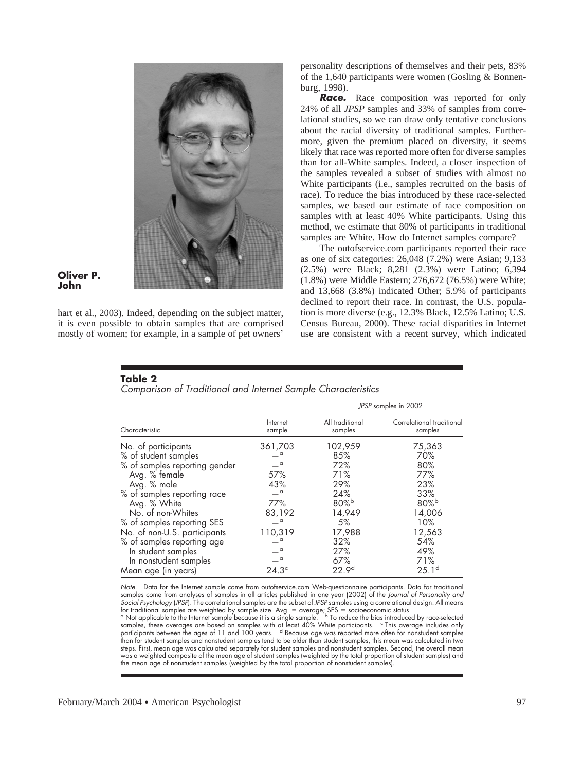

#### **Oliver P. John**

hart et al., 2003). Indeed, depending on the subject matter, it is even possible to obtain samples that are comprised mostly of women; for example, in a sample of pet owners'

personality descriptions of themselves and their pets, 83% of the 1,640 participants were women (Gosling & Bonnenburg, 1998).

**Race.** Race composition was reported for only 24% of all *JPSP* samples and 33% of samples from correlational studies, so we can draw only tentative conclusions about the racial diversity of traditional samples. Furthermore, given the premium placed on diversity, it seems likely that race was reported more often for diverse samples than for all-White samples. Indeed, a closer inspection of the samples revealed a subset of studies with almost no White participants (i.e., samples recruited on the basis of race). To reduce the bias introduced by these race-selected samples, we based our estimate of race composition on samples with at least 40% White participants. Using this method, we estimate that 80% of participants in traditional samples are White. How do Internet samples compare?

The outofservice.com participants reported their race as one of six categories: 26,048 (7.2%) were Asian; 9,133 (2.5%) were Black; 8,281 (2.3%) were Latino; 6,394 (1.8%) were Middle Eastern; 276,672 (76.5%) were White; and 13,668 (3.8%) indicated Other; 5.9% of participants declined to report their race. In contrast, the U.S. population is more diverse (e.g., 12.3% Black, 12.5% Latino; U.S. Census Bureau, 2000). These racial disparities in Internet use are consistent with a recent survey, which indicated

#### **Table 2**

|  |  |  |  |  |  | Comparison of Traditional and Internet Sample Characteristics |
|--|--|--|--|--|--|---------------------------------------------------------------|
|--|--|--|--|--|--|---------------------------------------------------------------|

|                               |                    | JPSP samples in 2002       |                                      |  |
|-------------------------------|--------------------|----------------------------|--------------------------------------|--|
| Characteristic                | Internet<br>sample | All traditional<br>samples | Correlational traditional<br>samples |  |
| No. of participants           | 361,703            | 102,959                    | 75,363                               |  |
| % of student samples          | $-{}^{\circ}$      | 85%                        | 70%                                  |  |
| % of samples reporting gender | $-{}^{\circ}$      | 72%                        | 80%                                  |  |
| Avg. % female                 | 57%                | 71%                        | 77%                                  |  |
| Avg. % male                   | 43%                | 29%                        | 23%                                  |  |
| % of samples reporting race   | $-{}^{\circ}$      | 24%                        | 33%                                  |  |
| Avg. % White                  | 77%                | $80\%$                     | $80\%$                               |  |
| No. of non-Whites             | 83,192             | 14,949                     | 14,006                               |  |
| % of samples reporting SES    | $-^{\alpha}$       | 5%                         | 10%                                  |  |
| No. of non-U.S. participants  | 110,319            | 17,988                     | 12,563                               |  |
| % of samples reporting age    | $-{}^{\circ}$      | 32%                        | 54%                                  |  |
| In student samples            | $-{}^{\circ}$      | 27%                        | 49%                                  |  |
| In nonstudent samples         | $-$ a              | 67%                        | 71%                                  |  |
| Mean age (in years)           | $24.3^\circ$       | 22.9 <sup>d</sup>          | 25.1 <sup>d</sup>                    |  |

*Note.* Data for the Internet sample come from outofservice.com Web-questionnaire participants. Data for traditional samples come from analyses of samples in all articles published in one year (2002) of the *Journal of Personality and Social Psychology* (*JPSP*). The correlational samples are the subset of *JPSP* samples using a correlational design. All means for traditional samples are weighted by sample size. Avg. = average; SES = socioeconomic status.<br><sup>a</sup> Not applicable to the Internet sample because it is a single sample. b To reduce the bias introduced by race-selected

samples, these averages are based on samples with at least 40% White participants. <sup>c</sup> This average includes only participants between the ages of 11 and 100 years. <sup>d</sup> Because age was reported more often for nonstudent samples than for student samples and nonstudent samples tend to be older than student samples, this mean was calculated in two steps. First, mean age was calculated separately for student samples and nonstudent samples. Second, the overall mean was a weighted composite of the mean age of student samples (weighted by the total proportion of student samples) and the mean age of nonstudent samples (weighted by the total proportion of nonstudent samples).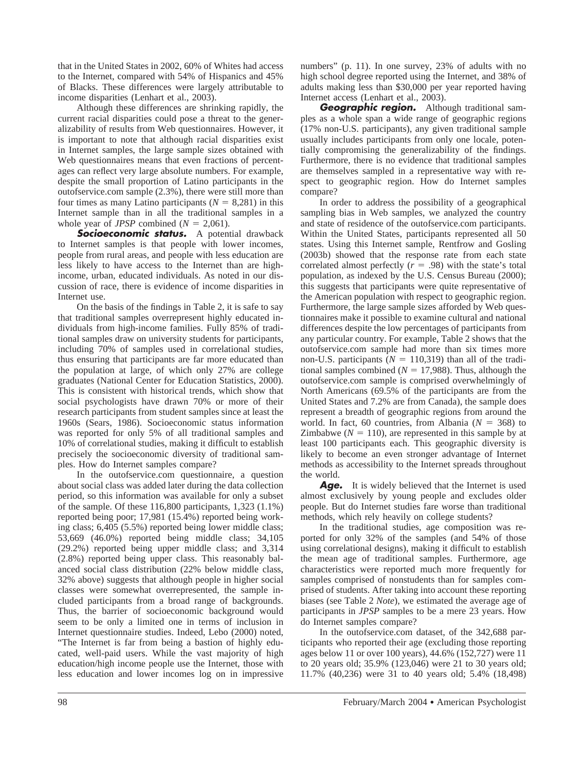that in the United States in 2002, 60% of Whites had access to the Internet, compared with 54% of Hispanics and 45% of Blacks. These differences were largely attributable to income disparities (Lenhart et al., 2003).

Although these differences are shrinking rapidly, the current racial disparities could pose a threat to the generalizability of results from Web questionnaires. However, it is important to note that although racial disparities exist in Internet samples, the large sample sizes obtained with Web questionnaires means that even fractions of percentages can reflect very large absolute numbers. For example, despite the small proportion of Latino participants in the outofservice.com sample (2.3%), there were still more than four times as many Latino participants  $(N = 8,281)$  in this Internet sample than in all the traditional samples in a whole year of *JPSP* combined ( $N = 2,061$ ).

**Socioeconomic status.** A potential drawback to Internet samples is that people with lower incomes, people from rural areas, and people with less education are less likely to have access to the Internet than are highincome, urban, educated individuals. As noted in our discussion of race, there is evidence of income disparities in Internet use.

On the basis of the findings in Table 2, it is safe to say that traditional samples overrepresent highly educated individuals from high-income families. Fully 85% of traditional samples draw on university students for participants, including 70% of samples used in correlational studies, thus ensuring that participants are far more educated than the population at large, of which only 27% are college graduates (National Center for Education Statistics, 2000). This is consistent with historical trends, which show that social psychologists have drawn 70% or more of their research participants from student samples since at least the 1960s (Sears, 1986). Socioeconomic status information was reported for only 5% of all traditional samples and 10% of correlational studies, making it difficult to establish precisely the socioeconomic diversity of traditional samples. How do Internet samples compare?

In the outofservice.com questionnaire, a question about social class was added later during the data collection period, so this information was available for only a subset of the sample. Of these 116,800 participants, 1,323 (1.1%) reported being poor; 17,981 (15.4%) reported being working class; 6,405 (5.5%) reported being lower middle class; 53,669 (46.0%) reported being middle class; 34,105 (29.2%) reported being upper middle class; and 3,314 (2.8%) reported being upper class. This reasonably balanced social class distribution (22% below middle class, 32% above) suggests that although people in higher social classes were somewhat overrepresented, the sample included participants from a broad range of backgrounds. Thus, the barrier of socioeconomic background would seem to be only a limited one in terms of inclusion in Internet questionnaire studies. Indeed, Lebo (2000) noted, "The Internet is far from being a bastion of highly educated, well-paid users. While the vast majority of high education/high income people use the Internet, those with less education and lower incomes log on in impressive

numbers" (p. 11). In one survey, 23% of adults with no high school degree reported using the Internet, and 38% of adults making less than \$30,000 per year reported having Internet access (Lenhart et al., 2003).

*Geographic region.* Although traditional samples as a whole span a wide range of geographic regions (17% non-U.S. participants), any given traditional sample usually includes participants from only one locale, potentially compromising the generalizability of the findings. Furthermore, there is no evidence that traditional samples are themselves sampled in a representative way with respect to geographic region. How do Internet samples compare?

In order to address the possibility of a geographical sampling bias in Web samples, we analyzed the country and state of residence of the outofservice.com participants. Within the United States, participants represented all 50 states. Using this Internet sample, Rentfrow and Gosling (2003b) showed that the response rate from each state correlated almost perfectly  $(r = .98)$  with the state's total population, as indexed by the U.S. Census Bureau (2000); this suggests that participants were quite representative of the American population with respect to geographic region. Furthermore, the large sample sizes afforded by Web questionnaires make it possible to examine cultural and national differences despite the low percentages of participants from any particular country. For example, Table 2 shows that the outofservice.com sample had more than six times more non-U.S. participants  $(N = 110,319)$  than all of the traditional samples combined ( $N = 17,988$ ). Thus, although the outofservice.com sample is comprised overwhelmingly of North Americans (69.5% of the participants are from the United States and 7.2% are from Canada), the sample does represent a breadth of geographic regions from around the world. In fact, 60 countries, from Albania ( $N = 368$ ) to Zimbabwe ( $N = 110$ ), are represented in this sample by at least 100 participants each. This geographic diversity is likely to become an even stronger advantage of Internet methods as accessibility to the Internet spreads throughout the world.

Age. It is widely believed that the Internet is used almost exclusively by young people and excludes older people. But do Internet studies fare worse than traditional methods, which rely heavily on college students?

In the traditional studies, age composition was reported for only 32% of the samples (and 54% of those using correlational designs), making it difficult to establish the mean age of traditional samples. Furthermore, age characteristics were reported much more frequently for samples comprised of nonstudents than for samples comprised of students. After taking into account these reporting biases (see Table 2 *Note*), we estimated the average age of participants in *JPSP* samples to be a mere 23 years. How do Internet samples compare?

In the outofservice.com dataset, of the 342,688 participants who reported their age (excluding those reporting ages below 11 or over 100 years), 44.6% (152,727) were 11 to 20 years old; 35.9% (123,046) were 21 to 30 years old; 11.7% (40,236) were 31 to 40 years old; 5.4% (18,498)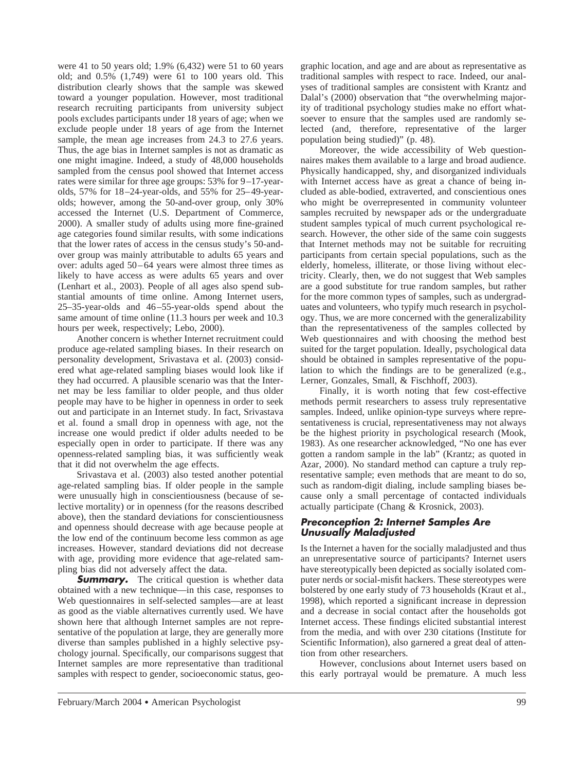were 41 to 50 years old; 1.9% (6,432) were 51 to 60 years old; and 0.5% (1,749) were 61 to 100 years old. This distribution clearly shows that the sample was skewed toward a younger population. However, most traditional research recruiting participants from university subject pools excludes participants under 18 years of age; when we exclude people under 18 years of age from the Internet sample, the mean age increases from 24.3 to 27.6 years. Thus, the age bias in Internet samples is not as dramatic as one might imagine. Indeed, a study of 48,000 households sampled from the census pool showed that Internet access rates were similar for three age groups: 53% for 9–17-yearolds, 57% for 18–24-year-olds, and 55% for 25–49-yearolds; however, among the 50-and-over group, only 30% accessed the Internet (U.S. Department of Commerce, 2000). A smaller study of adults using more fine-grained age categories found similar results, with some indications that the lower rates of access in the census study's 50-andover group was mainly attributable to adults 65 years and over: adults aged 50–64 years were almost three times as likely to have access as were adults 65 years and over (Lenhart et al., 2003). People of all ages also spend substantial amounts of time online. Among Internet users, 25–35-year-olds and 46–55-year-olds spend about the same amount of time online (11.3 hours per week and 10.3 hours per week, respectively; Lebo, 2000).

Another concern is whether Internet recruitment could produce age-related sampling biases. In their research on personality development, Srivastava et al. (2003) considered what age-related sampling biases would look like if they had occurred. A plausible scenario was that the Internet may be less familiar to older people, and thus older people may have to be higher in openness in order to seek out and participate in an Internet study. In fact, Srivastava et al. found a small drop in openness with age, not the increase one would predict if older adults needed to be especially open in order to participate. If there was any openness-related sampling bias, it was sufficiently weak that it did not overwhelm the age effects.

Srivastava et al. (2003) also tested another potential age-related sampling bias. If older people in the sample were unusually high in conscientiousness (because of selective mortality) or in openness (for the reasons described above), then the standard deviations for conscientiousness and openness should decrease with age because people at the low end of the continuum become less common as age increases. However, standard deviations did not decrease with age, providing more evidence that age-related sampling bias did not adversely affect the data.

**Summary.** The critical question is whether data obtained with a new technique—in this case, responses to Web questionnaires in self-selected samples—are at least as good as the viable alternatives currently used. We have shown here that although Internet samples are not representative of the population at large, they are generally more diverse than samples published in a highly selective psychology journal. Specifically, our comparisons suggest that Internet samples are more representative than traditional samples with respect to gender, socioeconomic status, geographic location, and age and are about as representative as traditional samples with respect to race. Indeed, our analyses of traditional samples are consistent with Krantz and Dalal's (2000) observation that "the overwhelming majority of traditional psychology studies make no effort whatsoever to ensure that the samples used are randomly selected (and, therefore, representative of the larger population being studied)" (p. 48).

Moreover, the wide accessibility of Web questionnaires makes them available to a large and broad audience. Physically handicapped, shy, and disorganized individuals with Internet access have as great a chance of being included as able-bodied, extraverted, and conscientious ones who might be overrepresented in community volunteer samples recruited by newspaper ads or the undergraduate student samples typical of much current psychological research. However, the other side of the same coin suggests that Internet methods may not be suitable for recruiting participants from certain special populations, such as the elderly, homeless, illiterate, or those living without electricity. Clearly, then, we do not suggest that Web samples are a good substitute for true random samples, but rather for the more common types of samples, such as undergraduates and volunteers, who typify much research in psychology. Thus, we are more concerned with the generalizability than the representativeness of the samples collected by Web questionnaires and with choosing the method best suited for the target population. Ideally, psychological data should be obtained in samples representative of the population to which the findings are to be generalized (e.g., Lerner, Gonzales, Small, & Fischhoff, 2003).

Finally, it is worth noting that few cost-effective methods permit researchers to assess truly representative samples. Indeed, unlike opinion-type surveys where representativeness is crucial, representativeness may not always be the highest priority in psychological research (Mook, 1983). As one researcher acknowledged, "No one has ever gotten a random sample in the lab" (Krantz; as quoted in Azar, 2000). No standard method can capture a truly representative sample; even methods that are meant to do so, such as random-digit dialing, include sampling biases because only a small percentage of contacted individuals actually participate (Chang & Krosnick, 2003).

## *Preconception 2: Internet Samples Are Unusually Maladjusted*

Is the Internet a haven for the socially maladjusted and thus an unrepresentative source of participants? Internet users have stereotypically been depicted as socially isolated computer nerds or social-misfit hackers. These stereotypes were bolstered by one early study of 73 households (Kraut et al., 1998), which reported a significant increase in depression and a decrease in social contact after the households got Internet access. These findings elicited substantial interest from the media, and with over 230 citations (Institute for Scientific Information), also garnered a great deal of attention from other researchers.

However, conclusions about Internet users based on this early portrayal would be premature. A much less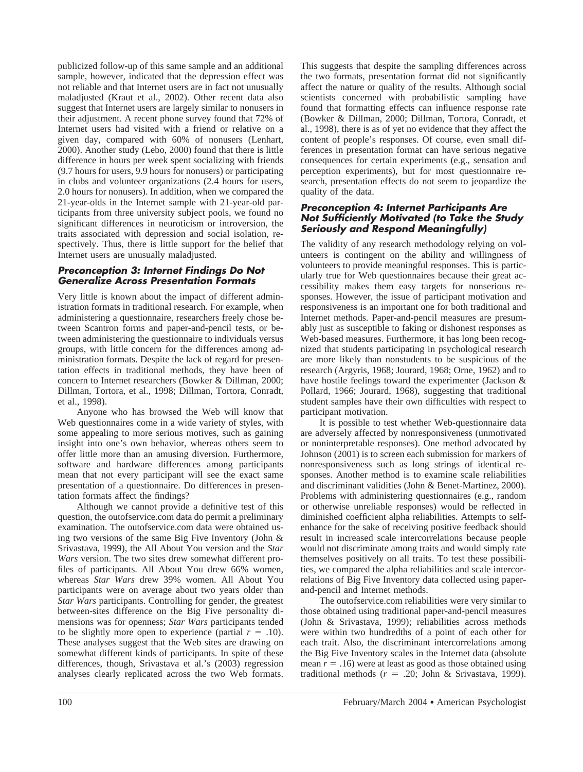publicized follow-up of this same sample and an additional sample, however, indicated that the depression effect was not reliable and that Internet users are in fact not unusually maladjusted (Kraut et al., 2002). Other recent data also suggest that Internet users are largely similar to nonusers in their adjustment. A recent phone survey found that 72% of Internet users had visited with a friend or relative on a given day, compared with 60% of nonusers (Lenhart, 2000). Another study (Lebo, 2000) found that there is little difference in hours per week spent socializing with friends (9.7 hours for users, 9.9 hours for nonusers) or participating in clubs and volunteer organizations (2.4 hours for users, 2.0 hours for nonusers). In addition, when we compared the 21-year-olds in the Internet sample with 21-year-old participants from three university subject pools, we found no significant differences in neuroticism or introversion, the traits associated with depression and social isolation, respectively. Thus, there is little support for the belief that Internet users are unusually maladjusted.

# *Preconception 3: Internet Findings Do Not Generalize Across Presentation Formats*

Very little is known about the impact of different administration formats in traditional research. For example, when administering a questionnaire, researchers freely chose between Scantron forms and paper-and-pencil tests, or between administering the questionnaire to individuals versus groups, with little concern for the differences among administration formats. Despite the lack of regard for presentation effects in traditional methods, they have been of concern to Internet researchers (Bowker & Dillman, 2000; Dillman, Tortora, et al., 1998; Dillman, Tortora, Conradt, et al., 1998).

Anyone who has browsed the Web will know that Web questionnaires come in a wide variety of styles, with some appealing to more serious motives, such as gaining insight into one's own behavior, whereas others seem to offer little more than an amusing diversion. Furthermore, software and hardware differences among participants mean that not every participant will see the exact same presentation of a questionnaire. Do differences in presentation formats affect the findings?

Although we cannot provide a definitive test of this question, the outofservice.com data do permit a preliminary examination. The outofservice.com data were obtained using two versions of the same Big Five Inventory (John & Srivastava, 1999), the All About You version and the *Star Wars* version. The two sites drew somewhat different profiles of participants. All About You drew 66% women, whereas *Star Wars* drew 39% women. All About You participants were on average about two years older than *Star Wars* participants. Controlling for gender, the greatest between-sites difference on the Big Five personality dimensions was for openness; *Star Wars* participants tended to be slightly more open to experience (partial  $r = .10$ ). These analyses suggest that the Web sites are drawing on somewhat different kinds of participants. In spite of these differences, though, Srivastava et al.'s (2003) regression analyses clearly replicated across the two Web formats.

This suggests that despite the sampling differences across the two formats, presentation format did not significantly affect the nature or quality of the results. Although social scientists concerned with probabilistic sampling have found that formatting effects can influence response rate (Bowker & Dillman, 2000; Dillman, Tortora, Conradt, et al., 1998), there is as of yet no evidence that they affect the content of people's responses. Of course, even small differences in presentation format can have serious negative consequences for certain experiments (e.g., sensation and perception experiments), but for most questionnaire research, presentation effects do not seem to jeopardize the quality of the data.

#### *Preconception 4: Internet Participants Are Not Sufficiently Motivated (to Take the Study Seriously and Respond Meaningfully)*

The validity of any research methodology relying on volunteers is contingent on the ability and willingness of volunteers to provide meaningful responses. This is particularly true for Web questionnaires because their great accessibility makes them easy targets for nonserious responses. However, the issue of participant motivation and responsiveness is an important one for both traditional and Internet methods. Paper-and-pencil measures are presumably just as susceptible to faking or dishonest responses as Web-based measures. Furthermore, it has long been recognized that students participating in psychological research are more likely than nonstudents to be suspicious of the research (Argyris, 1968; Jourard, 1968; Orne, 1962) and to have hostile feelings toward the experimenter (Jackson & Pollard, 1966; Jourard, 1968), suggesting that traditional student samples have their own difficulties with respect to participant motivation.

It is possible to test whether Web-questionnaire data are adversely affected by nonresponsiveness (unmotivated or noninterpretable responses). One method advocated by Johnson (2001) is to screen each submission for markers of nonresponsiveness such as long strings of identical responses. Another method is to examine scale reliabilities and discriminant validities (John & Benet-Martinez, 2000). Problems with administering questionnaires (e.g., random or otherwise unreliable responses) would be reflected in diminished coefficient alpha reliabilities. Attempts to selfenhance for the sake of receiving positive feedback should result in increased scale intercorrelations because people would not discriminate among traits and would simply rate themselves positively on all traits. To test these possibilities, we compared the alpha reliabilities and scale intercorrelations of Big Five Inventory data collected using paperand-pencil and Internet methods.

The outofservice.com reliabilities were very similar to those obtained using traditional paper-and-pencil measures (John & Srivastava, 1999); reliabilities across methods were within two hundredths of a point of each other for each trait. Also, the discriminant intercorrelations among the Big Five Inventory scales in the Internet data (absolute mean  $r = .16$ ) were at least as good as those obtained using traditional methods  $(r = .20;$  John & Srivastava, 1999).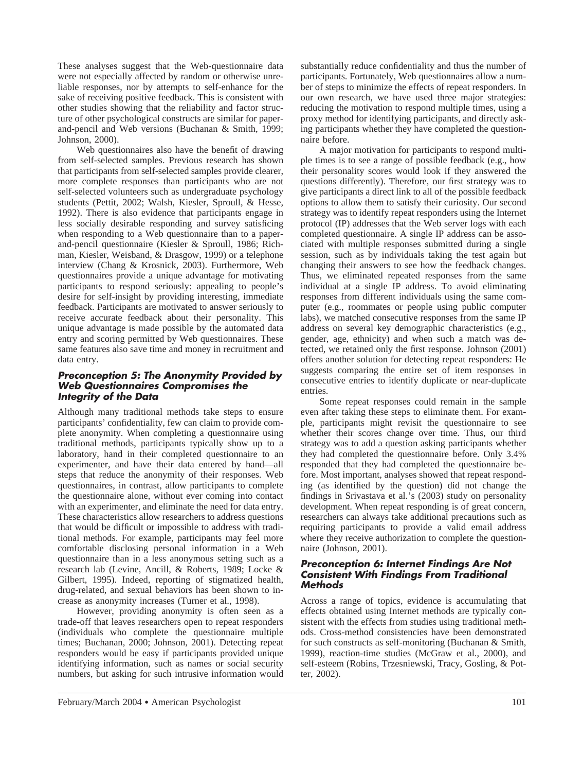These analyses suggest that the Web-questionnaire data were not especially affected by random or otherwise unreliable responses, nor by attempts to self-enhance for the sake of receiving positive feedback. This is consistent with other studies showing that the reliability and factor structure of other psychological constructs are similar for paperand-pencil and Web versions (Buchanan & Smith, 1999; Johnson, 2000).

Web questionnaires also have the benefit of drawing from self-selected samples. Previous research has shown that participants from self-selected samples provide clearer, more complete responses than participants who are not self-selected volunteers such as undergraduate psychology students (Pettit, 2002; Walsh, Kiesler, Sproull, & Hesse, 1992). There is also evidence that participants engage in less socially desirable responding and survey satisficing when responding to a Web questionnaire than to a paperand-pencil questionnaire (Kiesler & Sproull, 1986; Richman, Kiesler, Weisband, & Drasgow, 1999) or a telephone interview (Chang & Krosnick, 2003). Furthermore, Web questionnaires provide a unique advantage for motivating participants to respond seriously: appealing to people's desire for self-insight by providing interesting, immediate feedback. Participants are motivated to answer seriously to receive accurate feedback about their personality. This unique advantage is made possible by the automated data entry and scoring permitted by Web questionnaires. These same features also save time and money in recruitment and data entry.

#### *Preconception 5: The Anonymity Provided by Web Questionnaires Compromises the Integrity of the Data*

Although many traditional methods take steps to ensure participants' confidentiality, few can claim to provide complete anonymity. When completing a questionnaire using traditional methods, participants typically show up to a laboratory, hand in their completed questionnaire to an experimenter, and have their data entered by hand—all steps that reduce the anonymity of their responses. Web questionnaires, in contrast, allow participants to complete the questionnaire alone, without ever coming into contact with an experimenter, and eliminate the need for data entry. These characteristics allow researchers to address questions that would be difficult or impossible to address with traditional methods. For example, participants may feel more comfortable disclosing personal information in a Web questionnaire than in a less anonymous setting such as a research lab (Levine, Ancill, & Roberts, 1989; Locke & Gilbert, 1995). Indeed, reporting of stigmatized health, drug-related, and sexual behaviors has been shown to increase as anonymity increases (Turner et al., 1998).

However, providing anonymity is often seen as a trade-off that leaves researchers open to repeat responders (individuals who complete the questionnaire multiple times; Buchanan, 2000; Johnson, 2001). Detecting repeat responders would be easy if participants provided unique identifying information, such as names or social security numbers, but asking for such intrusive information would substantially reduce confidentiality and thus the number of participants. Fortunately, Web questionnaires allow a number of steps to minimize the effects of repeat responders. In our own research, we have used three major strategies: reducing the motivation to respond multiple times, using a proxy method for identifying participants, and directly asking participants whether they have completed the questionnaire before.

A major motivation for participants to respond multiple times is to see a range of possible feedback (e.g., how their personality scores would look if they answered the questions differently). Therefore, our first strategy was to give participants a direct link to all of the possible feedback options to allow them to satisfy their curiosity. Our second strategy was to identify repeat responders using the Internet protocol (IP) addresses that the Web server logs with each completed questionnaire. A single IP address can be associated with multiple responses submitted during a single session, such as by individuals taking the test again but changing their answers to see how the feedback changes. Thus, we eliminated repeated responses from the same individual at a single IP address. To avoid eliminating responses from different individuals using the same computer (e.g., roommates or people using public computer labs), we matched consecutive responses from the same IP address on several key demographic characteristics (e.g., gender, age, ethnicity) and when such a match was detected, we retained only the first response. Johnson (2001) offers another solution for detecting repeat responders: He suggests comparing the entire set of item responses in consecutive entries to identify duplicate or near-duplicate entries.

Some repeat responses could remain in the sample even after taking these steps to eliminate them. For example, participants might revisit the questionnaire to see whether their scores change over time. Thus, our third strategy was to add a question asking participants whether they had completed the questionnaire before. Only 3.4% responded that they had completed the questionnaire before. Most important, analyses showed that repeat responding (as identified by the question) did not change the findings in Srivastava et al.'s (2003) study on personality development. When repeat responding is of great concern, researchers can always take additional precautions such as requiring participants to provide a valid email address where they receive authorization to complete the questionnaire (Johnson, 2001).

#### *Preconception 6: Internet Findings Are Not Consistent With Findings From Traditional Methods*

Across a range of topics, evidence is accumulating that effects obtained using Internet methods are typically consistent with the effects from studies using traditional methods. Cross-method consistencies have been demonstrated for such constructs as self-monitoring (Buchanan & Smith, 1999), reaction-time studies (McGraw et al., 2000), and self-esteem (Robins, Trzesniewski, Tracy, Gosling, & Potter, 2002).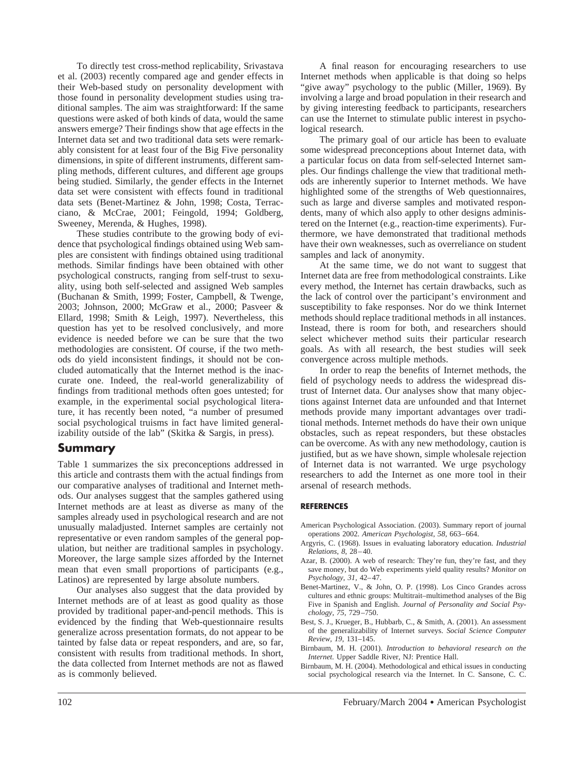To directly test cross-method replicability, Srivastava et al. (2003) recently compared age and gender effects in their Web-based study on personality development with those found in personality development studies using traditional samples. The aim was straightforward: If the same questions were asked of both kinds of data, would the same answers emerge? Their findings show that age effects in the Internet data set and two traditional data sets were remarkably consistent for at least four of the Big Five personality dimensions, in spite of different instruments, different sampling methods, different cultures, and different age groups being studied. Similarly, the gender effects in the Internet data set were consistent with effects found in traditional data sets (Benet-Martinez & John, 1998; Costa, Terracciano, & McCrae, 2001; Feingold, 1994; Goldberg, Sweeney, Merenda, & Hughes, 1998).

These studies contribute to the growing body of evidence that psychological findings obtained using Web samples are consistent with findings obtained using traditional methods. Similar findings have been obtained with other psychological constructs, ranging from self-trust to sexuality, using both self-selected and assigned Web samples (Buchanan & Smith, 1999; Foster, Campbell, & Twenge, 2003; Johnson, 2000; McGraw et al., 2000; Pasveer & Ellard, 1998; Smith & Leigh, 1997). Nevertheless, this question has yet to be resolved conclusively, and more evidence is needed before we can be sure that the two methodologies are consistent. Of course, if the two methods do yield inconsistent findings, it should not be concluded automatically that the Internet method is the inaccurate one. Indeed, the real-world generalizability of findings from traditional methods often goes untested; for example, in the experimental social psychological literature, it has recently been noted, "a number of presumed social psychological truisms in fact have limited generalizability outside of the lab" (Skitka & Sargis, in press).

# **Summary**

Table 1 summarizes the six preconceptions addressed in this article and contrasts them with the actual findings from our comparative analyses of traditional and Internet methods. Our analyses suggest that the samples gathered using Internet methods are at least as diverse as many of the samples already used in psychological research and are not unusually maladjusted. Internet samples are certainly not representative or even random samples of the general population, but neither are traditional samples in psychology. Moreover, the large sample sizes afforded by the Internet mean that even small proportions of participants (e.g., Latinos) are represented by large absolute numbers.

Our analyses also suggest that the data provided by Internet methods are of at least as good quality as those provided by traditional paper-and-pencil methods. This is evidenced by the finding that Web-questionnaire results generalize across presentation formats, do not appear to be tainted by false data or repeat responders, and are, so far, consistent with results from traditional methods. In short, the data collected from Internet methods are not as flawed as is commonly believed.

A final reason for encouraging researchers to use Internet methods when applicable is that doing so helps "give away" psychology to the public (Miller, 1969). By involving a large and broad population in their research and by giving interesting feedback to participants, researchers can use the Internet to stimulate public interest in psychological research.

The primary goal of our article has been to evaluate some widespread preconceptions about Internet data, with a particular focus on data from self-selected Internet samples. Our findings challenge the view that traditional methods are inherently superior to Internet methods. We have highlighted some of the strengths of Web questionnaires, such as large and diverse samples and motivated respondents, many of which also apply to other designs administered on the Internet (e.g., reaction-time experiments). Furthermore, we have demonstrated that traditional methods have their own weaknesses, such as overreliance on student samples and lack of anonymity.

At the same time, we do not want to suggest that Internet data are free from methodological constraints. Like every method, the Internet has certain drawbacks, such as the lack of control over the participant's environment and susceptibility to fake responses. Nor do we think Internet methods should replace traditional methods in all instances. Instead, there is room for both, and researchers should select whichever method suits their particular research goals. As with all research, the best studies will seek convergence across multiple methods.

In order to reap the benefits of Internet methods, the field of psychology needs to address the widespread distrust of Internet data. Our analyses show that many objections against Internet data are unfounded and that Internet methods provide many important advantages over traditional methods. Internet methods do have their own unique obstacles, such as repeat responders, but these obstacles can be overcome. As with any new methodology, caution is justified, but as we have shown, simple wholesale rejection of Internet data is not warranted. We urge psychology researchers to add the Internet as one more tool in their arsenal of research methods.

#### **REFERENCES**

- American Psychological Association. (2003). Summary report of journal operations 2002. *American Psychologist, 58,* 663–664.
- Argyris, C. (1968). Issues in evaluating laboratory education. *Industrial Relations, 8,* 28–40.
- Azar, B. (2000). A web of research: They're fun, they're fast, and they save money, but do Web experiments yield quality results? *Monitor on Psychology, 31,* 42–47.
- Benet-Martinez, V., & John, O. P. (1998). Los Cinco Grandes across cultures and ethnic groups: Multitrait–multimethod analyses of the Big Five in Spanish and English. *Journal of Personality and Social Psychology, 75,* 729–750.
- Best, S. J., Krueger, B., Hubbarb, C., & Smith, A. (2001). An assessment of the generalizability of Internet surveys. *Social Science Computer Review, 19,* 131–145.
- Birnbaum, M. H. (2001). *Introduction to behavioral research on the Internet.* Upper Saddle River, NJ: Prentice Hall.
- Birnbaum, M. H. (2004). Methodological and ethical issues in conducting social psychological research via the Internet. In C. Sansone, C. C.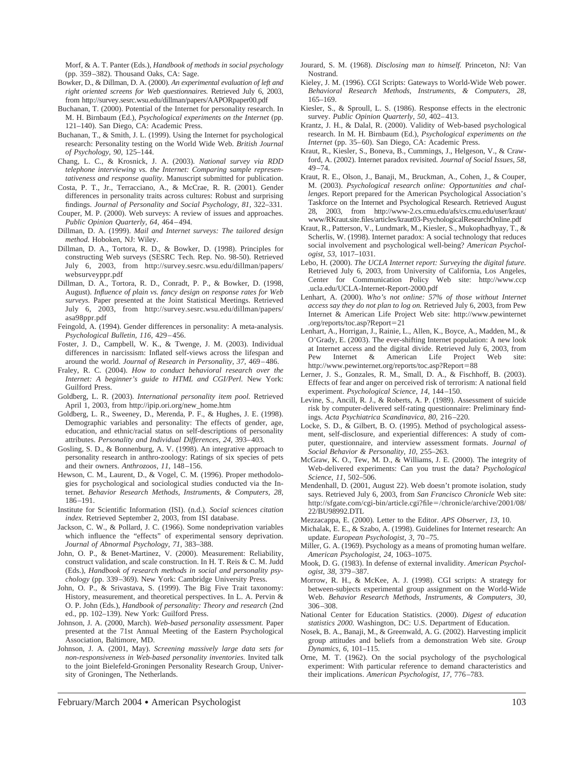Morf, & A. T. Panter (Eds.), *Handbook of methods in social psychology* (pp. 359–382). Thousand Oaks, CA: Sage.

- Bowker, D., & Dillman, D. A. (2000). *An experimental evaluation of left and right oriented screens for Web questionnaires.* Retrieved July 6, 2003, from http://survey.sesrc.wsu.edu/dillman/papers/AAPORpaper00.pdf
- Buchanan, T. (2000). Potential of the Internet for personality research. In M. H. Birnbaum (Ed.), *Psychological experiments on the Internet* (pp. 121–140). San Diego, CA: Academic Press.
- Buchanan, T., & Smith, J. L. (1999). Using the Internet for psychological research: Personality testing on the World Wide Web. *British Journal of Psychology, 90,* 125–144.
- Chang, L. C., & Krosnick, J. A. (2003). *National survey via RDD telephone interviewing vs. the Internet: Comparing sample representativeness and response quality.* Manuscript submitted for publication.
- Costa, P. T., Jr., Terracciano, A., & McCrae, R. R. (2001). Gender differences in personality traits across cultures: Robust and surprising findings. *Journal of Personality and Social Psychology, 81,* 322–331.
- Couper, M. P. (2000). Web surveys: A review of issues and approaches. *Public Opinion Quarterly, 64,* 464–494.
- Dillman, D. A. (1999). *Mail and Internet surveys: The tailored design method.* Hoboken, NJ: Wiley.
- Dillman, D. A., Tortora, R. D., & Bowker, D. (1998). Principles for constructing Web surveys (SESRC Tech. Rep. No. 98-50). Retrieved July 6, 2003, from http://survey.sesrc.wsu.edu/dillman/papers/ websurveyppr.pdf
- Dillman, D. A., Tortora, R. D., Conradt, P. P., & Bowker, D. (1998, August). *Influence of plain vs. fancy design on response rates for Web surveys.* Paper presented at the Joint Statistical Meetings. Retrieved July 6, 2003, from http://survey.sesrc.wsu.edu/dillman/papers/ asa98ppr.pdf
- Feingold, A. (1994). Gender differences in personality: A meta-analysis. *Psychological Bulletin, 116,* 429–456.
- Foster, J. D., Campbell, W. K., & Twenge, J. M. (2003). Individual differences in narcissism: Inflated self-views across the lifespan and around the world. *Journal of Research in Personality, 37,* 469–486.
- Fraley, R. C. (2004). *How to conduct behavioral research over the Internet: A beginner's guide to HTML and CGI/Perl.* New York: Guilford Press.
- Goldberg, L. R. (2003). *International personality item pool.* Retrieved April 1, 2003, from http://ipip.ori.org/new\_home.htm
- Goldberg, L. R., Sweeney, D., Merenda, P. F., & Hughes, J. E. (1998). Demographic variables and personality: The effects of gender, age, education, and ethnic/racial status on self-descriptions of personality attributes. *Personality and Individual Differences, 24,* 393–403.
- Gosling, S. D., & Bonnenburg, A. V. (1998). An integrative approach to personality research in anthro-zoology: Ratings of six species of pets and their owners. *Anthrozoos, 11,* 148–156.
- Hewson, C. M., Laurent, D., & Vogel, C. M. (1996). Proper methodologies for psychological and sociological studies conducted via the Internet. *Behavior Research Methods, Instruments, & Computers, 28,* 186–191.
- Institute for Scientific Information (ISI). (n.d.). *Social sciences citation index.* Retrieved September 2, 2003, from ISI database.
- Jackson, C. W., & Pollard, J. C. (1966). Some nondeprivation variables which influence the "effects" of experimental sensory deprivation. *Journal of Abnormal Psychology, 71,* 383–388.
- John, O. P., & Benet-Martinez, V. (2000). Measurement: Reliability, construct validation, and scale construction. In H. T. Reis & C. M. Judd (Eds.), *Handbook of research methods in social and personality psychology* (pp. 339–369). New York: Cambridge University Press.
- John, O. P., & Srivastava, S. (1999). The Big Five Trait taxonomy: History, measurement, and theoretical perspectives. In L. A. Pervin & O. P. John (Eds.), *Handbook of personality: Theory and research* (2nd ed., pp. 102–139). New York: Guilford Press.
- Johnson, J. A. (2000, March). *Web-based personality assessment.* Paper presented at the 71st Annual Meeting of the Eastern Psychological Association, Baltimore, MD.
- Johnson, J. A. (2001, May). *Screening massively large data sets for non-responsiveness in Web-based personality inventories.* Invited talk to the joint Bielefeld-Groningen Personality Research Group, University of Groningen, The Netherlands.
- Jourard, S. M. (1968). *Disclosing man to himself.* Princeton, NJ: Van Nostrand.
- Kieley, J. M. (1996). CGI Scripts: Gateways to World-Wide Web power. *Behavioral Research Methods, Instruments, & Computers, 28,* 165–169.
- Kiesler, S., & Sproull, L. S. (1986). Response effects in the electronic survey. *Public Opinion Quarterly, 50,* 402–413.
- Krantz, J. H., & Dalal, R. (2000). Validity of Web-based psychological research. In M. H. Birnbaum (Ed.), *Psychological experiments on the Internet* (pp. 35–60). San Diego, CA: Academic Press.
- Kraut, R., Kiesler, S., Boneva, B., Cummings, J., Helgeson, V., & Crawford, A. (2002). Internet paradox revisited. *Journal of Social Issues, 58,* 49–74.
- Kraut, R. E., Olson, J., Banaji, M., Bruckman, A., Cohen, J., & Couper, M. (2003). *Psychological research online: Opportunities and challenges.* Report prepared for the American Psychological Association's Taskforce on the Internet and Psychological Research. Retrieved August 28, 2003, from http://www-2.cs.cmu.edu/afs/cs.cmu.edu/user/kraut/ www/RKraut.site.files/articles/kraut03-PsychologicalResearchOnline.pdf
- Kraut, R., Patterson, V., Lundmark, M., Kiesler, S., Mukophadhyay, T., & Scherlis, W. (1998). Internet paradox: A social technology that reduces social involvement and psychological well-being? *American Psychologist, 53,* 1017–1031.
- Lebo, H. (2000). *The UCLA Internet report: Surveying the digital future.* Retrieved July 6, 2003, from University of California, Los Angeles, Center for Communication Policy Web site: http://www.ccp .ucla.edu/UCLA-Internet-Report-2000.pdf
- Lenhart, A. (2000). *Who's not online: 57% of those without Internet access say they do not plan to log on.* Retrieved July 6, 2003, from Pew Internet & American Life Project Web site: http://www.pewinternet .org/reports/toc.asp?Report=21
- Lenhart, A., Horrigan, J., Rainie, L., Allen, K., Boyce, A., Madden, M., & O'Grady, E. (2003). The ever-shifting Internet population: A new look at Internet access and the digital divide. Retrieved July 6, 2003, from Pew Internet & American Life Project Web site: http://www.pewinternet.org/reports/toc.asp?Report=88
- Lerner, J. S., Gonzales, R. M., Small, D. A., & Fischhoff, B. (2003). Effects of fear and anger on perceived risk of terrorism: A national field experiment. *Psychological Science, 14,* 144–150.
- Levine, S., Ancill, R. J., & Roberts, A. P. (1989). Assessment of suicide risk by computer-delivered self-rating questionnaire: Preliminary findings. *Acta Psychiatrica Scandinavica, 80,* 216–220.
- Locke, S. D., & Gilbert, B. O. (1995). Method of psychological assessment, self-disclosure, and experiential differences: A study of computer, questionnaire, and interview assessment formats. *Journal of Social Behavior & Personality, 10,* 255–263.
- McGraw, K. O., Tew, M. D., & Williams, J. E. (2000). The integrity of Web-delivered experiments: Can you trust the data? *Psychological Science, 11,* 502–506.
- Mendenhall, D. (2001, August 22). Web doesn't promote isolation, study says. Retrieved July 6, 2003, from *San Francisco Chronicle* Web site: http://sfgate.com/cgi-bin/article.cgi?file=/chronicle/archive/2001/08/ 22/BU98992.DTL
- Mezzacappa, E. (2000). Letter to the Editor. *APS Observer, 13,* 10.
- Michalak, E. E., & Szabo, A. (1998). Guidelines for Internet research: An update. *European Psychologist, 3,* 70–75.
- Miller, G. A. (1969). Psychology as a means of promoting human welfare. *American Psychologist, 24,* 1063–1075.
- Mook, D. G. (1983). In defense of external invalidity. *American Psychologist, 38,* 379–387.
- Morrow, R. H., & McKee, A. J. (1998). CGI scripts: A strategy for between-subjects experimental group assignment on the World-Wide Web. *Behavior Research Methods, Instruments, & Computers, 30,* 306–308.
- National Center for Education Statistics. (2000). *Digest of education statistics 2000.* Washington, DC: U.S. Department of Education.
- Nosek, B. A., Banaji, M., & Greenwald, A. G. (2002). Harvesting implicit group attitudes and beliefs from a demonstration Web site. *Group Dynamics, 6,* 101–115.
- Orne, M. T. (1962). On the social psychology of the psychological experiment: With particular reference to demand characteristics and their implications. *American Psychologist, 17,* 776–783.

February/March 2004 • American Psychologist 103